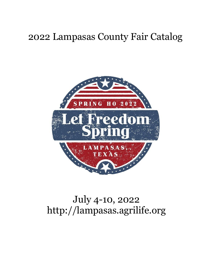## 2022 Lampasas County Fair Catalog



# July 4-10, 2022 http://lampasas.agrilife.org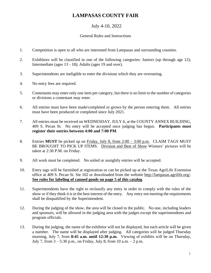## **LAMPASAS COUNTY FAIR**

## July 4-10, 2022

#### General Rules and Instructions

- 1. Competition is open to all who are interested from Lampasas and surrounding counties.
- 2. Exhibitors will be classified in one of the following categories: Juniors (up through age 12); Intermediate (ages 13 - 18); Adults (ages 19 and over).
- 3. Superintendents are ineligible to enter the divisions which they are overseeing.
- 4. No entry fees are required.
- 5. Contestants may enter only one item per category, but there is no limit to the number of categories or divisions a contestant may enter.
- 6. All entries must have been made/completed or grown by the person entering them. All entries must have been produced or completed since July 2021.
- 7. All entries must be received on WEDNESDAY, JULY 6, at the COUNTY ANNEX BUILDING, 409 S. Pecan St. No entry will be accepted once judging has begun. **Participants must register their entries between 4:00 and 7:00 PM.**
- 8. Entries **MUST** be picked up on Friday, July 8, from 2:00 3:00 p.m. CLAIM TAGS MUST BE BROUGHT TO PICK UP ITEMS. Division and Best of Show Winners' pictures will be taken at 2:30 P.M. on Friday.
- 9. All work must be completed. No soiled or unsightly entries will be accepted.
- 10. Entry tags will be furnished at registration or can be picked up at the Texas AgriLife Extension office at 409 S. Pecan St. Ste 102 or downloaded from the website [http://lampasas.agrilife.org/.](http://lampasas.agrilife.org/) **See rules for labeling of canned goods on page 5 of this catalog**.
- 11. Superintendents have the right to reclassify any entry in order to comply with the rules of the show or if they think it is in the best interest of the entry. Any entry not meeting the requirements shall be disqualified by the Superintendent.
- 12. During the judging of the show, the area will be closed to the public. No one, including leaders and sponsors, will be allowed in the judging area with the judges except the superintendents and program officials.
- 13. During the judging, the name of the exhibitor will not be displayed, but each article will be given a number. The name will be displayed after judging. All categories will be judged Thursday morning, July 7, from **8:45 a.m. until 12:30 p.m.** Viewing of exhibits will be on Thursday, July 7, from  $3 - 5:30$  p.m., on Friday, July 8, from 10 a.m.  $- 2$  p.m.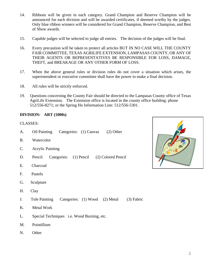- 14. Ribbons will be given in each category. Grand Champion and Reserve Champion will be announced for each division and will be awarded certificates, if deemed worthy by the judges. Only blue ribbon winners will be considered for Grand Champion, Reserve Champion, and Best of Show awards.
- 15. Capable judges will be selected to judge all entries. The decision of the judges will be final.
- 16. Every precaution will be taken to protect all articles BUT IN NO CASE WILL THE COUNTY FAIR COMMITTEE, TEXAS AGRILIFE EXTENSION, LAMPASAS COUNTY, OR ANY OF THEIR AGENTS OR REPRESENTATIVES BE RESPONSIBLE FOR LOSS, DAMAGE, THEFT, and BREAKAGE OR ANY OTHER FORM OF LOSS.
- 17. When the above general rules or division rules do not cover a situation which arises, the superintendent or executive committee shall have the power to make a final decision.
- 18. All rules will be strictly enforced.
- 19. Questions concerning the County Fair should be directed to the Lampasas County office of Texas AgriLife Extension. The Extension office is located in the county office building: phone 512/556-8271; or the Spring Ho Information Line: 512/556-5301.

#### **DIVISION: ART (1000s)**

- A. Oil Painting Categories: (1) Canvas (2) Other
- B. Watercolor
- C. Acrylic Painting
- D. Pencil Categories: (1) Pencil (2) Colored Pencil
- E. Charcoal
- F. Pastels
- G. Sculpture
- H. Clay
- J. Tole Painting Categories: (1) Wood (2) Metal (3) Fabric
- K. Metal Work
- L. Special Techniques i.e. Wood Burning, etc.
- M. Pointillism
- N. Other

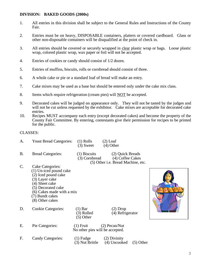#### **DIVISION: BAKED GOODS (2000s)**

- 1. All entries in this division shall be subject to the General Rules and Instructions of the County Fair.
- 2. Entries must be on heavy, DISPOSABLE containers, platters or covered cardboard. Glass or other non-disposable containers will be disqualified at the point of check in.
- 3. All entries should be covered or securely wrapped in clear plastic wrap or bags. Loose plastic wrap, colored plastic wrap, wax paper or foil will not be accepted.
- 4. Entries of cookies or candy should consist of 1/2 dozen.
- 5. Entries of muffins, biscuits, rolls or cornbread should consist of three.
- 6. A whole cake or pie or a standard loaf of bread will make an entry.
- 7. Cake mixes may be used as a base but should be entered only under the cake mix class.
- 8. Items which require refrigeration (cream pies) will **NOT** be accepted.
- 9. Decorated cakes will be judged on appearance only. They will not be tasted by the judges and will not be cut unless requested by the exhibitor. Cake mixes are acceptable for decorated cake entries.
- 10. Recipes MUST accompany each entry (except decorated cakes) and become the property of the County Fair Committee. By entering, contestants give their permission for recipes to be printed for the public.

#### CLASSES:

- A. Yeast Bread Categories: (1) Rolls (2) Loaf  $(3)$  Sweet  $(4)$  Other
- B. Bread Categories: (1) Biscuits (2) Quick Breads
	-

 (3) Cornbread (4) Coffee Cakes (5) Other i.e. Bread Machine, etc.

- C. Cake Categories:
	- (1) Un-iced pound cake
	- (2) Iced pound cake
	- (3) Layer cake
	- (4) Sheet cake
	- (5) Decorated cake
	- (6) Cakes made with a mix
	- (7) Bundt cakes
	- (8) Other cakes
- D. Cookie Categories: (1) Bar (2) Drop
	- (5) Other





E. Pie Categories: (1) Fruit (2) Pecan/Nut No other pies will be accepted. F. Candy Categories: (1) Fudge (2) Divinity<br>(3) Nut Brittle (4) Uncooke  $(4)$  Uncooked  $(5)$  Other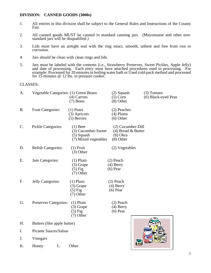#### **DIVISION: CANNED GOODS (3000s)**

- 1. All entries in this division shall be subject to the General Rules and Instructions of the County Fair.
- 2. All canned goods MUST be canned in standard canning jars. (Mayonnaise and other nonstandard jars will be disqualified.)
- 3. Lids must have an airtight seal with the ring intact, smooth, unbent and free from rust or corrosion.
- 4. Jars should be clean with clean rings and lids.
- 5. Jars must be labeled with the contents (i.e., Strawberry Preserves, Sweet Pickles, Apple Jelly) and date of processing. Each entry must have attached procedures used in processing. For example: Processed for 20 minutes in boiling water bath or Used cold-pack method and processed for 15 minutes @ 12 lbs. in pressure cooker.

| А.        | Vegetable Categories: (1) Green Beans | (4) Carrots<br>$(7)$ Beets                                               | $(2)$ Squash<br>$(5)$ Corn<br>$(8)$ Other                              | $(3)$ Tomato<br>(6) Black-eyed Peas |
|-----------|---------------------------------------|--------------------------------------------------------------------------|------------------------------------------------------------------------|-------------------------------------|
| <b>B.</b> | <b>Fruit Categories:</b>              | $(1)$ Pears<br>(3) Apricots<br>(5) Berries                               | (2) Peaches<br>$(4)$ Plums<br>$(6)$ Other                              |                                     |
| C.        | Pickle Categories:                    | $(1)$ Beet<br>(3) Cucumber-Sweet<br>$(5)$ Squash<br>(7) Mixed vegetables | (2) Cucumber-Dill<br>$(4)$ Bread & Butter<br>$(6)$ Okra<br>$(8)$ Other |                                     |
| D.        | <b>Relish Categories:</b>             | $(1)$ Fruit<br>$(3)$ Other                                               | (2) Vegetables                                                         |                                     |
| Ε.        | Jam Categories:                       | $(1)$ Plum<br>$(3)$ Grape<br>$(5)$ Fig<br>$(7)$ Other                    | $(2)$ Peach<br>$(4)$ Berry<br>$(6)$ Pear                               |                                     |
| F.        | Jelly Categories:                     | $(1)$ Plum<br>$(3)$ Grape<br>$(5)$ Fig<br>$(7)$ Other                    | $(2)$ Peach<br>$(4)$ Berry<br>$(6)$ Pear                               |                                     |
| G.        | Preserves Categories:                 | $(1)$ Plum<br>$(3)$ Grape<br>$(5)$ Fig<br>(7) Other                      | $(2)$ Peach<br>$(4)$ Berry<br>$(6)$ Pear                               |                                     |
| H.        | Butters (like apple butter)           |                                                                          |                                                                        |                                     |
| I.        | Picante Sauces/Salsas                 |                                                                          |                                                                        |                                     |
| J.        | Vinegars                              |                                                                          |                                                                        |                                     |
| Κ.        | L.<br>Honey                           | Other                                                                    |                                                                        |                                     |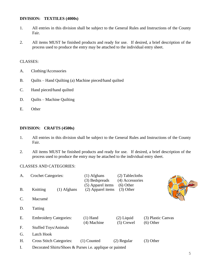#### **DIVISION: TEXTILES (4000s)**

- 1. All entries in this division shall be subject to the General Rules and Instructions of the County Fair.
- 2. All items MUST be finished products and ready for use. If desired, a brief description of the process used to produce the entry may be attached to the individual entry sheet.

#### CLASSES:

- A. Clothing/Accessories
- B. Quilts Hand Quilting (a) Machine pieced/hand quilted
- C. Hand pieced/hand quilted
- D. Quilts Machine Quilting
- E. Other

#### **DIVISION: CRAFTS (4500s)**

- 1. All entries in this division shall be subject to the General Rules and Instructions of the County Fair.
- 2. All items MUST be finished products and ready for use. If desired, a brief description of the process used to produce the entry may be attached to the individual entry sheet.

#### CLASSES AND CATEGORIES:

| A.              | <b>Crochet Categories:</b>                                      | $(1)$ Afghans<br>(3) Bedspreads        | (2) Tablecloths<br>(4) Accessories |                                   |  |
|-----------------|-----------------------------------------------------------------|----------------------------------------|------------------------------------|-----------------------------------|--|
| <b>B.</b>       | Knitting<br>$(1)$ Afghans                                       | (5) Apparel items<br>(2) Apparel items | $(6)$ Other<br>$(3)$ Other         |                                   |  |
| $\mathcal{C}$ . | Macramé                                                         |                                        |                                    |                                   |  |
| D.              | Tatting                                                         |                                        |                                    |                                   |  |
| Ε.              | <b>Embroidery Categories:</b>                                   | $(1)$ Hand<br>(4) Machine              | $(2)$ Liquid<br>$(5)$ Crewel       | (3) Plastic Canvas<br>$(6)$ Other |  |
| F.              | <b>Stuffed Toys/Animals</b>                                     |                                        |                                    |                                   |  |
| G.              | Latch Hook                                                      |                                        |                                    |                                   |  |
| Η.              | <b>Cross Stitch Categories:</b>                                 | $(1)$ Counted                          | $(2)$ Regular                      | $(3)$ Other                       |  |
| I.              | Decorated Shirts/Shoes & Purses <i>i.e.</i> applique or painted |                                        |                                    |                                   |  |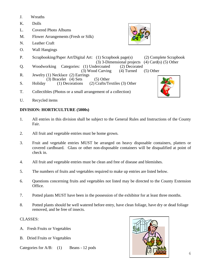- J. Wreaths
- K. Dolls
- L. Covered Photo Albums
- M. Flower Arrangements (Fresh or Silk)
- N. Leather Craft
- O. Wall Hangings
- P. Scrapbooking/Paper Art/Digital Art: (1) Scrapbook page(s) (2) Complete Scrapbook

(3) 3-Dimensional projects (4) Card(s) (5) Other<br>lercoated (2) Decorated

- Q. Woodworking Categories: (1) Undercoated (2) Decorated (3) Wood Carving (4) Turned
- (3) Wood Carving (4) Turned (5) Other<br>R. Jewelry (1) Necklace (2) Earrings Jewelry (1) Necklace (2) Earrings (3) Bracelet (4) Sets (5) Other<br>(1) Decorations (2) Crafts/Te
- S. Holiday (1) Decorations (2) Crafts/Textiles (3) Other
- T. Collectibles (Photos or a small arrangement of a collection)
- U. Recycled items

### **DIVISION: HORTICULTURE (5000s)**

- 1. All entries in this division shall be subject to the General Rules and Instructions of the County Fair.
- 2. All fruit and vegetable entries must be home grown.
- 3. Fruit and vegetable entries MUST be arranged on heavy disposable containers, platters or covered cardboard. Glass or other non-disposable containers will be disqualified at point of check in.
- 4. All fruit and vegetable entries must be clean and free of disease and blemishes.
- 5. The numbers of fruits and vegetables required to make up entries are listed below.
- 6. Questions concerning fruits and vegetables not listed may be directed to the County Extension Office.
- 7. Potted plants MUST have been in the possession of the exhibitor for at least three months.
- 8. Potted plants should be well watered before entry, have clean foliage, have dry or dead foliage removed, and be free of insects.

- A. Fresh Fruits or Vegetables
- B. Dried Fruits or Vegetables
- Categories for A/B: (1) Beans 12 pods



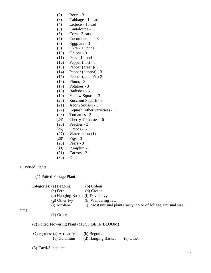- (2) Beets 3
- (3) Cabbage 1 head
- (4) Lettuce 1 head
- (5) Cantaloupe 1
- (6) Corn 3 ears
- (7) Cucumbers 3
- (8) Eggplant 3
- (9) Okra 12 pods
- (10) Onions 3
- (11) Peas 12 pods
- (12) Pepper (hot) 3
- (13) Pepper (green)- 3
- (14) Pepper (banana) 3
- (15) Pepper (jalapeño)-3
- (16) Plums 3
- (17) Potatoes 3
- (18) Radishes 6
- (19) Yellow Squash 3
- (20) Zucchini Squash 3
- (21) Acorn Squash 3
- (22) Squash (other varieties) 3
- (23) Tomatoes 3
- (24) Cherry Tomatoes 6
- (25) Peaches 3
- (26) Grapes 6
- (27) Watermelon (1)
- (28) Figs 3
- (29) Pears 3
- (30) Pumpkin 1
- (31) Carrots 3
- (32) Other

### C. Potted Plants

(1) Potted Foliage Plant

|        | Categories: (a) Begonia | (b) Coleus                                                      |
|--------|-------------------------|-----------------------------------------------------------------|
|        | (c) Fern                | (d) Croton                                                      |
|        |                         | (e) Hanging Basket (f) Devil's Ivy                              |
|        | $(g)$ Other Ivy         | (h) Wandering Jew                                               |
|        | (i) Airplane            | (i) Most unusual plant (rarity, color of foliage, unusual size, |
| $\sim$ |                         |                                                                 |

etc.)

(k) Other

#### (2) Potted Flowering Plant (MUST BE IN BLOOM)

 Categories: (a) African Violet (b) Begonia (c) Geranium (d) Hanging Basket (e) Other

(3) Cacti/Succulent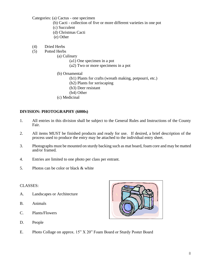Categories: (a) Cactus - one specimen

- (b) Cacti collection of five or more different varieties in one pot
- (c) Succulent
- (d) Christmas Cacti
- (e) Other
- (4) Dried Herbs
- (5) Potted Herbs
	- (a) Culinary
		- (a1) One specimen in a pot
		- (a2) Two or more specimens in a pot
	- (b) Ornamental
		- (b1) Plants for crafts (wreath making, potpourri, etc.)
			- (b2) Plants for xeriscaping
			- (b3) Deer resistant
		- (b4) Other
	- (c) Medicinal

#### **DIVISION: PHOTOGRAPHY (6000s)**

- 1. All entries in this division shall be subject to the General Rules and Instructions of the County Fair.
- 2. All items MUST be finished products and ready for use. If desired, a brief description of the process used to produce the entry may be attached to the individual entry sheet.
- 3. Photographs must be mounted on sturdy backing such as mat board, foam core and may be matted and/or framed.
- 4. Entries are limited to one photo per class per entrant.
- 5. Photos can be color or black & white

- A. Landscapes or Architecture
- B. Animals
- C. Plants/Flowers
- D. People
- E. Photo Collage on approx. 15" X 20" Foam Board or Sturdy Poster Board